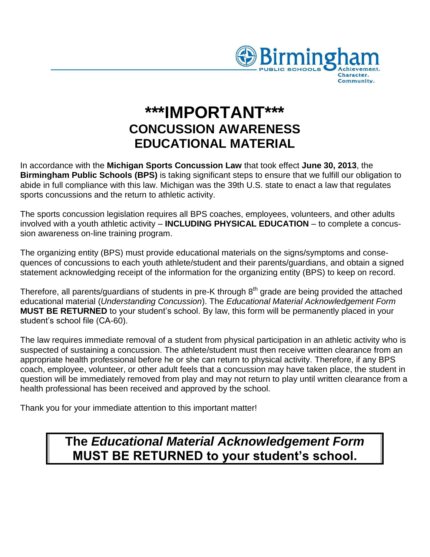

# **\*\*\*IMPORTANT\*\*\* CONCUSSION AWARENESS EDUCATIONAL MATERIAL**

In accordance with the **Michigan Sports Concussion Law** that took effect **June 30, 2013**, the **Birmingham Public Schools (BPS)** is taking significant steps to ensure that we fulfill our obligation to abide in full compliance with this law. Michigan was the 39th U.S. state to enact a law that regulates sports concussions and the return to athletic activity.

The sports concussion legislation requires all BPS coaches, employees, volunteers, and other adults involved with a youth athletic activity – **INCLUDING PHYSICAL EDUCATION** – to complete a concussion awareness on-line training program.

The organizing entity (BPS) must provide educational materials on the signs/symptoms and consequences of concussions to each youth athlete/student and their parents/guardians, and obtain a signed statement acknowledging receipt of the information for the organizing entity (BPS) to keep on record.

Therefore, all parents/guardians of students in pre-K through 8<sup>th</sup> grade are being provided the attached educational material (*Understanding Concussion*). The *Educational Material Acknowledgement Form* **MUST BE RETURNED** to your student's school. By law, this form will be permanently placed in your student's school file (CA-60).

The law requires immediate removal of a student from physical participation in an athletic activity who is suspected of sustaining a concussion. The athlete/student must then receive written clearance from an appropriate health professional before he or she can return to physical activity. Therefore, if any BPS coach, employee, volunteer, or other adult feels that a concussion may have taken place, the student in question will be immediately removed from play and may not return to play until written clearance from a health professional has been received and approved by the school.

Thank you for your immediate attention to this important matter!

## **The** *Educational Material Acknowledgement Form* **MUST BE RETURNED to your student's school.**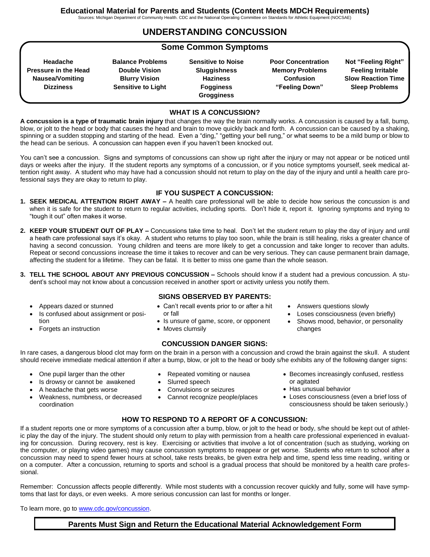**UNDERSTANDING CONCUSSION** 

#### **Some Common Symptoms**

| Headache                    | Bala |
|-----------------------------|------|
| <b>Pressure in the Head</b> | D    |
| Nausea/Vomiting             | Е    |
| <b>Dizziness</b>            | Ser  |

**Balance Problems Ouble Vision Blurry Vision Sensitive to Light** 

**Sensitive to Noise Sluggishness Haziness Fogginess Grogginess** 

**Poor Concentration Memory Problems Confusion "Feeling Down"**

**Not "Feeling Right" Feeling Irritable Slow Reaction Time Sleep Problems** 

#### **WHAT IS A CONCUSSION?**

**A concussion is a type of traumatic brain injury** that changes the way the brain normally works. A concussion is caused by a fall, bump, blow, or jolt to the head or body that causes the head and brain to move quickly back and forth. A concussion can be caused by a shaking, spinning or a sudden stopping and starting of the head. Even a "ding," "getting your bell rung," or what seems to be a mild bump or blow to the head can be serious. A concussion can happen even if you haven't been knocked out.

You can't see a concussion. Signs and symptoms of concussions can show up right after the injury or may not appear or be noticed until days or weeks after the injury. If the student reports any symptoms of a concussion, or if you notice symptoms yourself, seek medical attention right away. A student who may have had a concussion should not return to play on the day of the injury and until a health care professional says they are okay to return to play.

#### **IF YOU SUSPECT A CONCUSSION:**

- **1. SEEK MEDICAL ATTENTION RIGHT AWAY –** A health care professional will be able to decide how serious the concussion is and when it is safe for the student to return to regular activities, including sports. Don't hide it, report it. Ignoring symptoms and trying to "tough it out" often makes it worse.
- **2. KEEP YOUR STUDENT OUT OF PLAY –** Concussions take time to heal. Don't let the student return to play the day of injury and until a heath care professional says it's okay. A student who returns to play too soon, while the brain is still healing, risks a greater chance of having a second concussion. Young children and teens are more likely to get a concussion and take longer to recover than adults. Repeat or second concussions increase the time it takes to recover and can be very serious. They can cause permanent brain damage, affecting the student for a lifetime. They can be fatal. It is better to miss one game than the whole season.
- **3. TELL THE SCHOOL ABOUT ANY PREVIOUS CONCUSSION –** Schools should know if a student had a previous concussion. A student's school may not know about a concussion received in another sport or activity unless you notify them.
	- Appears dazed or stunned
	- Is confused about assignment or position
	- Forgets an instruction
- **SIGNS OBSERVED BY PARENTS:** Can't recall events prior to or after a hit or fall
- Is unsure of game, score, or opponent
- Moves clumsily

#### **CONCUSSION DANGER SIGNS:**

 Answers questions slowly Loses consciousness (even briefly)

 Shows mood, behavior, or personality changes

In rare cases, a dangerous blood clot may form on the brain in a person with a concussion and crowd the brain against the skull. A student should receive immediate medical attention if after a bump, blow, or jolt to the head or body s/he exhibits any of the following danger signs:

- One pupil larger than the other
- Is drowsy or cannot be awakened
- A headache that gets worse
- Weakness, numbness, or decreased coordination
- Repeated vomiting or nausea
- Slurred speech
- Convulsions or seizures
- Cannot recognize people/places
- Becomes increasingly confused, restless or agitated
- Has unusual behavior
- Loses consciousness (even a brief loss of consciousness should be taken seriously.)

#### **HOW TO RESPOND TO A REPORT OF A CONCUSSION:**

If a student reports one or more symptoms of a concussion after a bump, blow, or jolt to the head or body, s/he should be kept out of athletic play the day of the injury. The student should only return to play with permission from a health care professional experienced in evaluating for concussion. During recovery, rest is key. Exercising or activities that involve a lot of concentration (such as studying, working on the computer, or playing video games) may cause concussion symptoms to reappear or get worse. Students who return to school after a concussion may need to spend fewer hours at school, take rests breaks, be given extra help and time, spend less time reading, writing or on a computer. After a concussion, returning to sports and school is a gradual process that should be monitored by a health care professional.

Remember: Concussion affects people differently. While most students with a concussion recover quickly and fully, some will have symptoms that last for days, or even weeks. A more serious concussion can last for months or longer.

To learn more, go to [www.cdc.gov/concussion.](http://www.cdc.gov/concussion)

#### **Parents Must Sign and Return the Educational Material Acknowledgement Form**